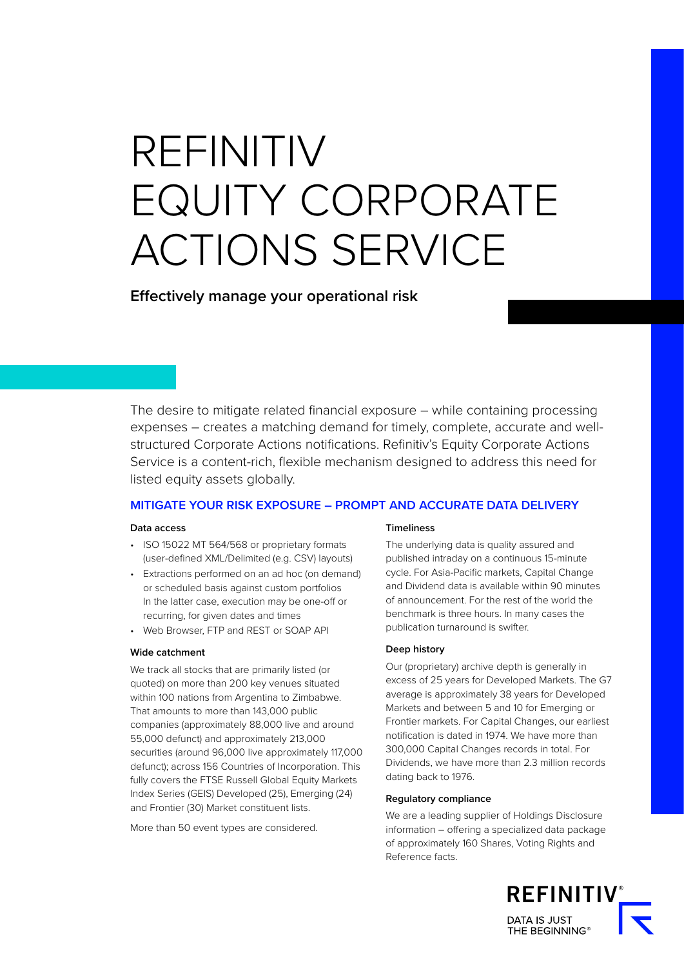# REFINITIV EQUITY CORPORATE ACTIONS SERVICE

**Effectively manage your operational risk**

The desire to mitigate related financial exposure – while containing processing expenses – creates a matching demand for timely, complete, accurate and wellstructured Corporate Actions notifications. Refinitiv's Equity Corporate Actions Service is a content-rich, flexible mechanism designed to address this need for listed equity assets globally.

# **MITIGATE YOUR RISK EXPOSURE – PROMPT AND ACCURATE DATA DELIVERY**

### **Data access**

- ISO 15022 MT 564/568 or proprietary formats (user-defined XML/Delimited (e.g. CSV) layouts)
- Extractions performed on an ad hoc (on demand) or scheduled basis against custom portfolios In the latter case, execution may be one-off or recurring, for given dates and times
- Web Browser, FTP and REST or SOAP API

#### **Wide catchment**

We track all stocks that are primarily listed (or quoted) on more than 200 key venues situated within 100 nations from Argentina to Zimbabwe. That amounts to more than 143,000 public companies (approximately 88,000 live and around 55,000 defunct) and approximately 213,000 securities (around 96,000 live approximately 117,000 defunct); across 156 Countries of Incorporation. This fully covers the FTSE Russell Global Equity Markets Index Series (GEIS) Developed (25), Emerging (24) and Frontier (30) Market constituent lists.

More than 50 event types are considered.

#### **Timeliness**

The underlying data is quality assured and published intraday on a continuous 15-minute cycle. For Asia-Pacific markets, Capital Change and Dividend data is available within 90 minutes of announcement. For the rest of the world the benchmark is three hours. In many cases the publication turnaround is swifter.

#### **Deep history**

Our (proprietary) archive depth is generally in excess of 25 years for Developed Markets. The G7 average is approximately 38 years for Developed Markets and between 5 and 10 for Emerging or Frontier markets. For Capital Changes, our earliest notification is dated in 1974. We have more than 300,000 Capital Changes records in total. For Dividends, we have more than 2.3 million records dating back to 1976.

#### **Regulatory compliance**

We are a leading supplier of Holdings Disclosure information – offering a specialized data package of approximately 160 Shares, Voting Rights and Reference facts.

> **REFINITIV** DATA IS JUST<br>THE BEGINNING